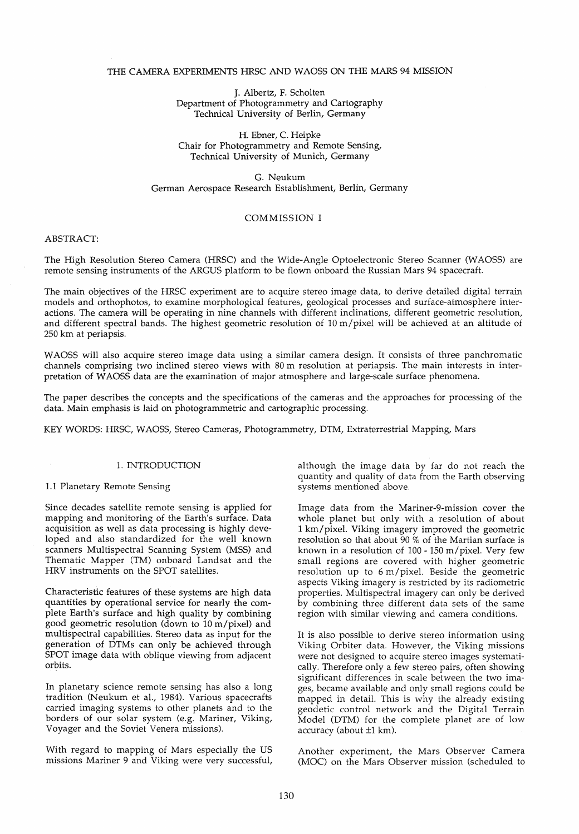### THE CAMERA EXPERIMENTS HRSC AND WAOSS ON THE MARS 94 MISSION

J. Albertz, F. Scholten Department of Photogrammetry and Cartography Technical University of Berlin, Germany

H. Ebner, C. Heipke Chair for Photogrammetry and Remote Sensing, Technical University of Munich, Germany

G. Neukum German Aerospace Research Establishment, Berlin, Germany

### COMMISSION I

# ABSTRACT:

The High Resolution Stereo Camera (HRSC) and the Wide-Angle Optoelectronic Stereo Scanner (WAOSS) are remote sensing instruments of the ARGUS platform to be flown onboard the Russian Mars 94 spacecraft.

The main objectives of the HRSC experiment are to acquire stereo image data, to derive detailed digital terrain models and orthophotos, to examine morphological features, geologieal processes and surface-atmosphere interactions. The camera will be operating in nine channels with different inclinations, different geometrie resolution, and different spectral bands. The highest geometric resolution of 10 m/pixel will be achieved at an altitude of 250 km at periapsis.

WAOSS will also acquire stereo image data using a similar camera design. It consists of three panchromatie channels comprising two inclined stereo views with 80 m resolution at periapsis. The main interests in interpretation of WAOSS data are the examination of major atmosphere and large-scale surface phenomena.

The paper describes the concepts and the specifications of the cameras and the approaches for processing of the data. Main emphasis is laid on photogrammetrie and cartographie processing.

KEY WORDS: HRSC, WAOSS, Stereo Cameras, Photogrammetry, DTM, Extraterrestrial Mapping, Mars

## 1. INTRODUCTION

### 1.1 Planetary Remote Sensing

Since decades satellite remote sensing is applied for mapping and monitoring of the Earth's surface. Data acquisition as well as data processing is highly developed and also standardized for the weIl known scanners Multispectral Scanning System (MSS) and Thematic Mapper (TM) onboard Landsat and the HRV instruments on the SPOT satellites.

Characteristic features of these systems are high data quantities by operational service for nearly the complete Earth's surface and high quality by combining good geometric resolution (down to 10 m/pixel) and multispectral capabilities. Stereo data as input for the generation of DTMs can only be achieved through SPOT image data with oblique viewing from adjacent orbits.

In planetary science remote sensing has also a long tradition (Neukum et al., 1984). Various spacecrafts carried imaging systems to other planets and to the borders of our solar system (e.g. Mariner, Viking, Voyager and the Soviet Venera missions).

With regard to mapping of Mars especially the US missions Mariner 9 and Viking were very successful, although the image data by far do not reach the quantity and quality of data from the Earth observing systems mentioned above.

Image data from the Mariner-9-mission cover the whole planet but only with a resolution of about .1 km/pixel. Viking imagery improved the geometrie resolution so that about 90 % of the Martian surface is known in a resolution of  $100 - 150$  m/pixel. Very few small regions are covered with higher geometric  $resolution$  up to  $6 \text{ m/pixel}$ . Beside the geometric aspects Viking imagery is restricted by its radiometric properties. Multispectral imagery can only be derived by combining three different data sets of the same region with similar viewing and camera conditions.

It is also possible to derive stereo information using Viking Orbiter data. However, the Viking missions were not designed to acquire stereo images systematically. Therefore only a few stereo pairs, often showing significant differences in scale between the two images, became available and only small regions could be mapped in detail. This is why the already existing geodetic control network and the Digital Terrain Model (DTM) for the complete planet are of low accuracy (about ±1 km).

Another experiment, the Mars Observer Camera (MOC) on the Mars Observer mission (scheduled to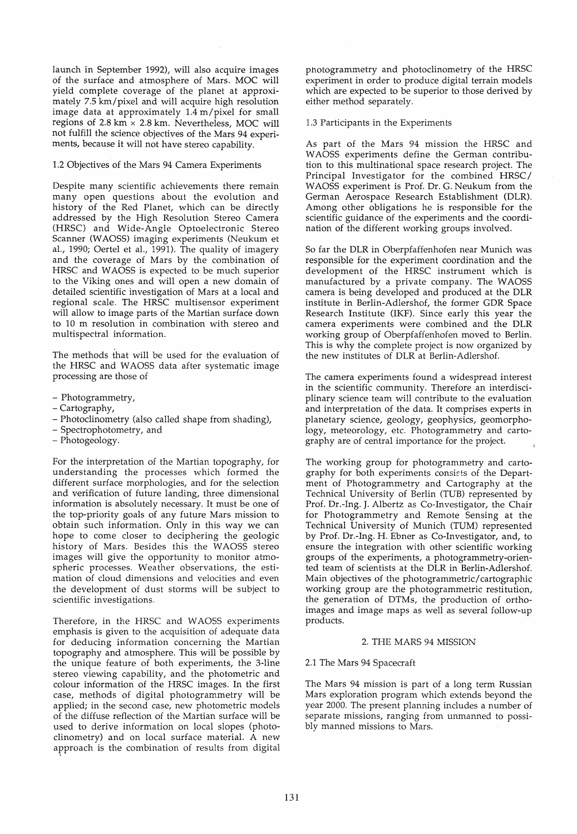launch in September 1992), will also acquire images of the surface and atmosphere of Mars. MOC will yield complete coverage of the planet at approximately 7.5 km/pixel and will acquire high resolution image data at approximately 1.4 m/pixel for small regions of 2.8 km  $\times$  2.8 km. Nevertheless, MOC will not fulfill the science objectives of the Mars 94 experiments, because it will not have stereo capability.

## 1.2 Objectives of the Mars 94 Camera Experiments

Despite many scientific achievements there remain many open questions about the evolution and history of the Red Planet, which can be directly addressed by the High Resolution Stereo Camera (HRSC) and Wide-Angle Optoelectronic Stereo Scanner (WAOSS) imaging experiments (Neukum et *al.,* 1990; Oertel et al., 1991). The quality of imagery and the coverage of Mars by the combination of HRSC and WAOSS is expected to be much superior to the Viking ones and will open a new domain of detailed scientifie investigation of Mars at a local and regional scale. The HRSC multisensor experiment will allow to image parts of the Martian surface down to 10 m resolution in combination with stereo and multispectral information.

The methods that will be used for the evaluation of the HRSC and WAOSS data after systematic image processing are those of

- Photogrammetry,
- Cartography,
- Photodinometry (also called shape from shading),
- Spectrophotometry, and
- Photogeology.

For the interpretation of the Martian topography, for understanding the processes whieh formed the different surface morphologies, and for the selection and verifieation of future landing, three dimensional information is absolutely necessary. It must be one of the top-priority goals of any future Mars mission to obtain such information. Only in this way we can hope to come doser to deciphering the geologie history of Mars. Besides this the WAOSS stereo images will give the opportunity to monitor atmospherie processes. Weather observations, the estimation of doud dimensions and velocities and even the development of dust storms will be subject to scientific investigations.

Therefore, in the HRSC and WAOSS experiments emphasis is given to the acquisition of adequate data for deducing information concerning the Martian topography and atmosphere. This will be possible by the unique feature of both experiments, the 3-line stereo viewing capability, and the photometrie and colour information of the HRSC images. In the first case, methods of digital photogrammetry will be applied; in the second case, new photometric models of the diffuse reflection of the Martian surface will be used to derive information on local slopes (photoclinometry) and on local surface material. A new approach is the combination of results from digital photogrammetry and photoclinometry of the HRSC experiment in order to produce digital terrain models whieh are expected to be superior to those derived by either method separately.

1.3 Participants in the Experiments

As part of the Mars 94 mission the HRSC and WAOSS experiments define the German contribution to this multinational space research project. The Principal Investigator for the combined HRSC/ WAOSS experiment is Prof. Dr. G. Neukum from the German Aerospace Research Establishment (DLR). Among other obligations he is responsible for the scientific guidance of the experiments and the coordination of the different working groups involved.

So far the DLR in Oberpfaffenhofen near Munieh was responsible for the experiment coordination and the development of the HRSC instrument whieh is manufactured by a private company. The WAOSS camera is being developed and produced at the DLR institute in Berlin-Adlershof, the former GDR Space Research Institute (IKF). Since early this year the camera experiments were combined and the DLR working group of Oberpfaffenhofen moved to Berlin. This is why the complete project is now organized by the new institutes of DLR at Berlin-Adlershof.

The camera experiments found a widespread interest in the scientific community. Therefore an interdisciplinary science team will contribute to the evaluation and interpretation of the data. It comprises experts in planetary science, geology, geophysics, geomorphology, meteorology, etc. Photogrammetry and cartography are of central importance for the project.

The working group for photogrammetry and cartography for both experiments consists of the Department of Photogrammetry and Cartography at the Technieal University of Berlin (TUB) represented by Prof. Dr.-Ing. J. Albertz as Co-Investigator, the Chair for Photogrammetry and Remote Sensing at the Technieal University of Munich (TUM) represented by Prof. Dr.-Ing. H. Ebner as Co-Investigator, and, to ensure the integration with other scientifie working groups of the experiments, a photogrammetry-oriented team of scientists at the DLR in Berlin-Adlershof. Main objectives of the photogrammetric/ cartographie working group are the photogrammetric restitution, the generation of DTMs, the production of orthoimages and image maps as well as several follow-up products.

#### 2. THE MARS 94 MISSION

# 2.1 The Mars 94 Spacecraft

The Mars 94 mission is part of a long term Russian Mars exploration program which extends beyond the year 2000. The present planning includes a number of separate missions, ranging from unmanned to possibly manned missions to Mars.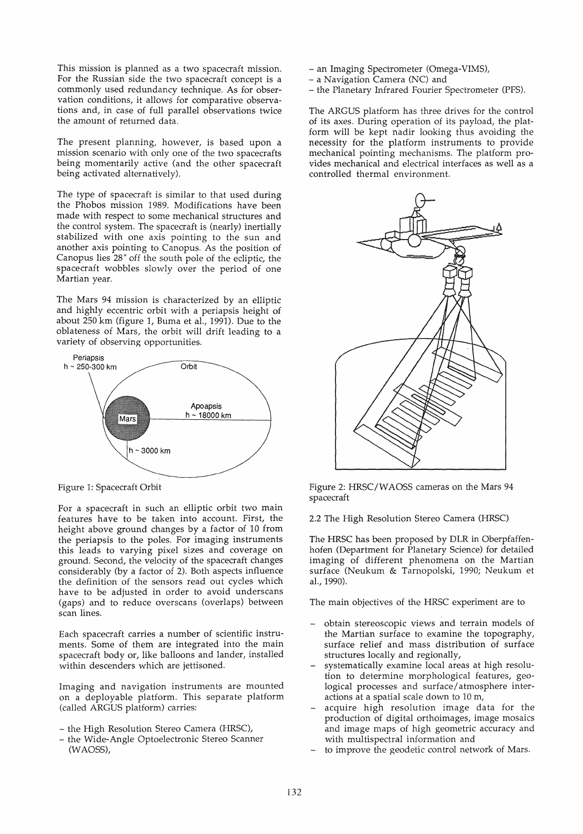This mission is planned as a two spacecraft mission. For the Russian side the two spacecraft concept is a commonly used redundancy technique. As for observation conditions, it allows for comparative observations and, in case of full parallel observations twice the amount of returned data.

The present planning, however, is based upon a mission scenario with only one of the two spacecrafts being momentarily active (and the other spacecraft being activated alternatively).

The type of spacecraft is similar to that used during the Phobos mission 1989. Modifications have been made with respect to some mechanical structures and the control system. The spacecraft is (nearly) inertially stabilized with one axis pointing to the sun and another axis pointing to Canopus. As the position of Canopus lies 28° off the south pole of the ecliptic, the spacecraft wobbles slowly over the period of one Martian year.

The Mars 94 mission is characterized by an elliptie and highly eccentric orbit with a periapsis height of about 250 km (figure 1, Buma et al., 1991). Due to the oblateness of Mars, the orbit will drift leading to a variety of observing opportunities.



Figure 1: Spacecraft Orbit

For a spacecraft in such an elliptic orbit two main features have to be taken into account. First, the height above ground changes by a factor of 10 from the periapsis to the poles. For imaging instruments this leads to varying pixel sizes and coverage on ground. Second, the velocity of the spacecraft changes considerably (by a factor of 2). Both aspects influence the definition of the sensors read out cycles which have to be adjusted in order to avoid underscans (gaps) and to reduce overscans (overlaps) between scan lines.

Bach spacecraft carries a number of scientific instruments. Some of them are integrated into the main spacecraft body or, like balloons and lander, installed within descenders which are jettisoned.

Imaging and navigation instruments are mounted on a deployable platform. This separate platform (called ARGUS platform) carries:

- the High Resolution Stereo Camera (HRSC),
- the Wide-Angle Optoelectronic Stereo Scanner (WAOSS),
- an Imaging Spectrometer (Omega-VIMS),
- a Navigation Camera (NC) and
- the Planetary Infrared Fourier Spectrometer (PFS).

The ARGUS platform has three drives for the control of its axes. During operation of its payload, the platform will be kept nadir looking thus avoiding the necessity for the platform instruments to provide mechanical pointing mechanisms. The platform provi des mechanical and electrical interfaces as weIl as a controlled thermal environment.



Figure 2: HRSC/WAOSS cameras on the Mars 94 spacecraft

2.2 The High Resolution Stereo Camera (HRSC)

The HRSC has been proposed by DLR in Oberpfaffenhofen (Department for Planetary Science) for detailed imaging of different phenomena on the Martian surface (Neukum & Tarnopolski, 1990; Neukum et al.,1990).

The main objectives of the HRSC experiment are to

- obtain stereoscopic views and terrain models of the Martian surface to examine the topography, surface relief and mass distribution of surface structures locally and regionally,
- systematically examine local areas at high resolution to determine morphological features, geologieal processes and surface/ atmosphere interactions at a spatial scale down to 10 m,
- acquire high resolution image data for the production of digital orthoimages, image mosaics and image maps of high geometrie accuracy and with multispectral information and
- to improve the geodetic control network of Mars.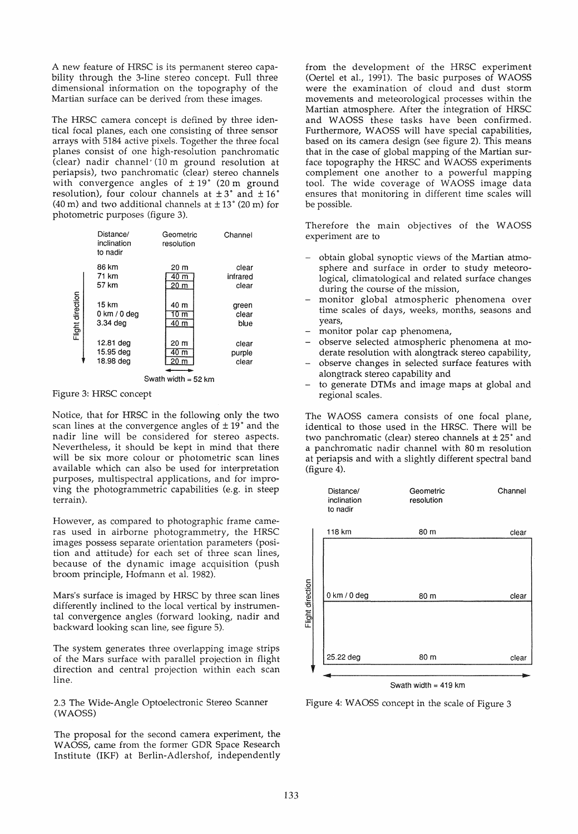A new feature of HRSC is its permanent stereo capability through the 3-line stereo concept. Full three dimensional information on the topography of the Martian surface can be derived from these images.

The HRSC camera concept is defined by three identieal focal planes, each one consisting of three sensor arrays with 5184 active pixels. Together the three focal planes consist of one high-resolution panchromatie (c1ear) nadir channel' (10 m ground resolution at periapsis), two panchromatic (clear) stereo channels with convergence angles of  $\pm 19^{\circ}$  (20 m ground resolution), four colour channels at  $\pm 3^{\circ}$  and  $\pm 16^{\circ}$ (40 m) and two additional channels at  $\pm$  13° (20 m) for photometrie purposes (figure 3).

|                  | Distance/<br>inclination<br>to nadir | Geometric<br>resolution         | Channel                    |
|------------------|--------------------------------------|---------------------------------|----------------------------|
|                  | 86 km<br>71 km<br>57 km              | 20 m<br>40 <sub>m</sub><br>20 m | clear<br>infrared<br>clear |
| Flight direction | 15 km<br>0 km / 0 dea<br>$3.34$ dea  | 40 m<br>10 m<br>40 m            | green<br>clear<br>blue     |
|                  | 12.81 deg<br>15.95 deg<br>18.98 deg  | 20 m<br>40 <sub>m</sub><br>20 m | clear<br>purple<br>clear   |
|                  | Swath width $=$ 52 km                |                                 |                            |

Figure 3: HRSC concept

Notiee, that for HRSC in the following only the two scan lines at the convergence angles of  $\pm 19^{\circ}$  and the nadir line will be considered for stereo aspects. Nevertheless, it should be kept in mind that there will be six more colour or photometrie scan lines available whieh can also be used for interpretation purposes, multispectral applications, and for improving the photogrammetrie capabilities (e.g. in steep terrain).

However, as compared to photographic frame cameras used in airborne photogrammetry, the HRSC images possess separate orientation parameters (position and attitude) for each set of three scan lines, because of the dynamic image acquisition (push broom principle, Hofmann et al. 1982).

Mars's surface is imaged by HRSC by three scan lines differently inclined to the local vertical by instrumental convergence angles (forward looking, nadir and backward looking scan line, see figure 5).

The system generates three overlapping image strips of the Mars surface with parallel projection in flight direction and central projection within each scan line.

2.3 The Wide-Angle Optoelectronie Stereo Scanner (WAOSS)

The proposal for the second camera experiment, the W AOSS, came from the former GDR Space Research Institute (IKF) at Berlin-Adlershof, independently

from the development of the HRSC experiment (Oertel et al., 1991). The basie purposes of WAOSS were the examination of c10ud and dust storm movements and meteorologieal processes within the Martian atmosphere. After the integration of HRSC and WAOSS these tasks have been confirmed. Furthermore, WAOSS will have special capabilities, based on its camera design (see figure 2). This means that in the case of global mapping of the Martian surface topography the HRSC and WAOSS experiments complement one another to a powerful mapping tool. The wide coverage of WAOSS image data ensures that monitoring in different time scales will be possible.

Therefore the main objectives of the WAOSS experiment are to

- obtain global synoptie views of the Martian atmosphere and surface in order to study meteorological, climatological and related surface changes during the course of the mission,
- monitor global atmospheric phenomena over time scales of days, weeks, months, seasons and years,
- monitor polar cap phenomena,
- observe selected atmospherie phenomena at moderate resolution with alongtrack stereo capability,
- observe changes in selected surface features with alongtrack stereo capability and
- to generate DTMs and image maps at global and regional scales.

The WAOSS camera consists of one focal plane, identieal to those used in the HRSC. There will be two panchromatic (clear) stereo channels at  $\pm 25^{\circ}$  and a panchromatic nadir channel with 80 m resolution at periapsis and with a slightly different spectral band (figure 4).



Figure 4: WAOSS concept in the scale of Figure 3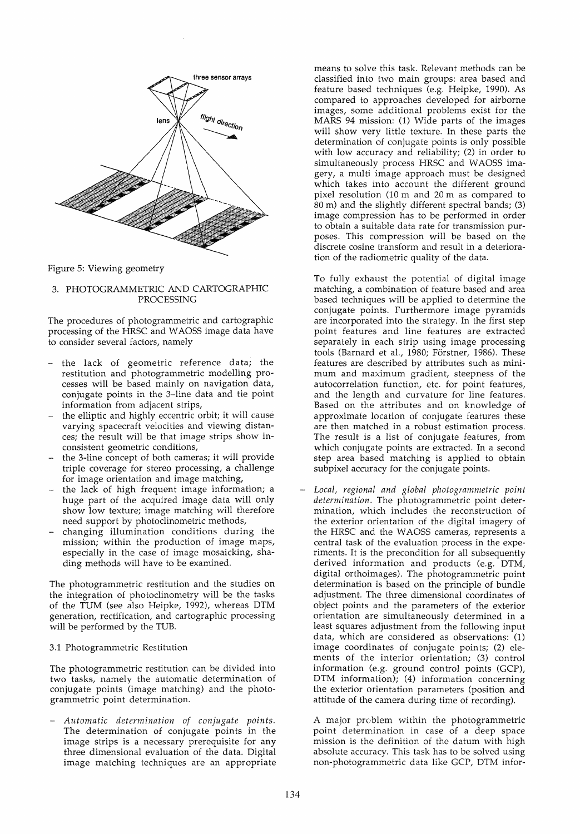

Figure 5: Viewing geometry

### 3. PHOTOGRAMMETRIC AND CARTOGRAPHIC PROCESSING

The procedures of photogrammetrie and cartographie processing of the HRSC and W AOSS image data have to consider several factors, namely

- the lack of geometric reference data; the restitution and photogrammetric modelling processes will be based mainly on navigation data, conjugate points in the 3-line data and tie point information from adjacent strips,
- the elliptic and highly eccentric orbit; it will cause varying spacecraft velocities and viewing distances; the result will be that image strips show inconsistent geometrie conditions,
- the 3-line concept of both cameras; it will provide triple coverage for stereo processing, a challenge for image orientation and image matching,
- the lack of high frequent image information; a huge part of the acquired image data will only show low texture; image matching will therefore need support by photoclinometrie methods,
- changing illumination conditions during the mission; within the production of image maps, especially in the case of image mosaicking, shading methods will have to be examined.

The photogrammetric restitution and the studies on the integration of photoclinometry will be the tasks of the TUM (see also Heipke, 1992), whereas DTM generation, rectification, and cartographie processing will be performed by the TUB.

## 3.1 Photogrammetrie Restitution

The photogrammetrie restitution can be divided into two tasks, namely the automatie determination of conjugate points (image matching) and the photogrammetric point determination.

*- Automatie determination of eonjugate points.*  The determination of conjugate points in the image strips is a necessary prerequisite for any three dimensional evaluation of the data. Digital image matching techniques are an appropriate

means to solve this task. Relevant methods can be classified into two main groups: area based and feature based techniques (e.g. Heipke, 1990). As compared to approaches developed for airborne images, some additional problems exist for the MARS 94 mission: (1) Wide parts of the images will show very little texture. In these parts the determination of conjugate points is only possible with low accuracy and reliability; (2) in order to simultaneously process HRSC and WAOSS imagery, a multi image approach must be designed which takes into account the different ground pixel resolution (10 m and 20 m as eompared to 80 m) and the slightly different speetral bands; (3) image eompression has to be performed in order to obtain a suitable data rate for transmission purposes. This eompression will be based on the diserete eosine transform and result in a deterioration of the radiometrie quality of the data.

To fully exhaust the potential of digital image matehing, a eombination of feature based and area based teehniques will be applied to determine the eonjugate points. Furthermore image pyramids are incorporated into the strategy. In the first step point features and line features are extracted separately in each strip using image processing tools (Barnard et al., 1980; Förstner, 1986). These features are deseribed by attributes such as minimum and maximum gradient, steepness of the autocorrelation function, etc. for point features, and the length and curvature for line features. Based on the attributes and on knowledge of approximate location of conjugate features these are then matched in a robust estimation process. The result is a list of conjugate features, from which conjugate points are extracted. In a second step area based matching is applied to obtain subpixel accuracy for the conjugate points.

*- Loeal, regional and global photogrammetrie point determination.* The photogrammetric point determination, which includes the reconstruction of the exterior orientation of the digital imagery of the HRSC and the WAOSS cameras, represents a central task of the evaluation process in the experiments. It is the precondition for all subsequently derived information and products (e.g. DTM, digital orthoimages). The photogrammetrie point determination is based on the principle of bundle adjustment. The three dimensional coordinates of object points and the parameters of the exterior orientation are simultaneously determined in a least squares adjustment from the following input data, wh ich are considered as observations: (1) image coordinates of conjugate points; (2) elements of the interior orientation; (3) control information (e.g. ground control points (GCP), DTM information); (4) information eoncerning the exterior orientation parameters (position and attitude of the camera during time of recording).

A major problem within the photogrammetric point determination in case of a deep space mission is the definition of the datum with high absolute accuracy. This task has to be solved using non-photogrammetric data like GCP, DTM infor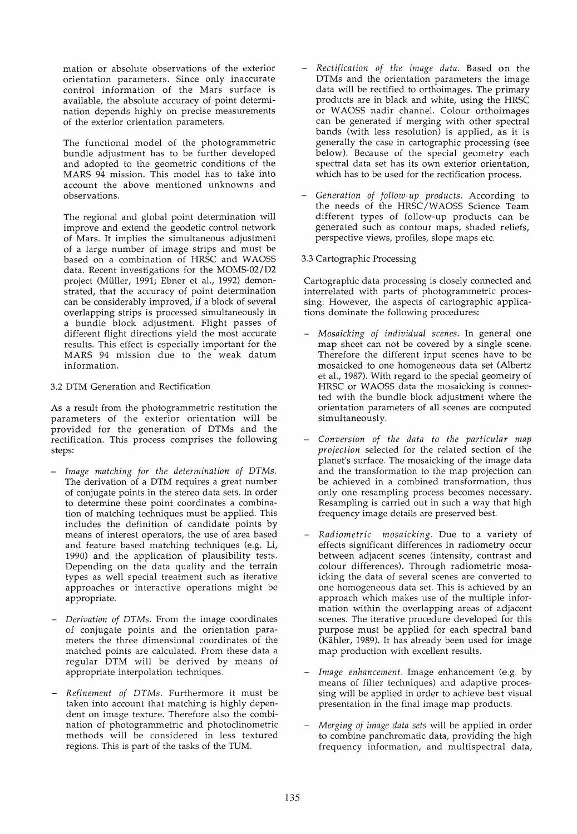mation or absolute observations of the exterior orientation parameters. Since only inaccurate control information of the Mars surface is available, the absolute accuracy of point determination depends highly on precise measurements of the exterior orientation parameters.

The functional model of the photogrammetric bundle adjustment has to be further developed and adopted to the geometric conditions of the MARS 94 mission. This model has to take into account the above mentioned unknowns and observations.

The regional and global point determination will improve and extend the geodetic control network of Mars. It implies the simultaneous adjustment of a large number of image strips and must be based on a combination of HRSC and WAOSS data. Recent investigations for the MOMS-02/D2 project (Müller, 1991; Ebner et a1., 1992) demonstrated, that the accuracy of point determination can be considerably improved, if a block of several overlapping strips is processed simultaneously in a bundle block adjustment. Flight passes of different flight directions yield the most accurate results. This effect is especially important for the MARS 94 mission due to the weak datum information.

# 3.2 DTM Generation and Rectification

As a result from the photogrammetric restitution the parameters of the exterior orientation will be provided for the generation of DTMs and the rectification. This process comprises the following steps:

- *- Image matehing for the determination of DTMs.*  The derivation of a DTM requires a great number of conjugate points in the stereo data sets. In order to determine these point coordinates a combination of matching techniques must be applied. This includes the definition of candidate points by means of interest operators, the use of area based and feature based matching techniques (e.g. Li, 1990) and the application of plausibility tests. Depending on the data quality and the terrain types as weIl special treatment such as iterative approaches or interactive operations might be appropriate.
- *- Derivation of DTMs.* From the image coordinates of conjugate points and the orientation parameters the three dimensional coordinates of the matched points are calculated. From these data a regular DTM will be derived by means of appropriate interpolation techniques.
- *- Refinement of DTMs.* Furthermore it must be taken into account that matching is highly dependent on image texture. Therefore also the combination of photogrammetric and photoclinometric methods will be considered in less textured regions. This is part of the tasks of the TUM.
- *- Reetifieation of the image data.* Based on the DTMs and the orientation parameters the image data will be rectified to orthoimages. The primary products are in black and white, using the HRSC or WAOSS nadir channel. Colour orthoimages can be generated if merging with other spectral bands (with less resolution) is applied, as it is generally the case in cartographic processing (see below). Because of the special geometry each spectral data set has its own exterior orientation, which has to be used for the rectification process.
- *- Generation of follow-up produets.* According to the needs of the HRSC/WAOSS Science Team different types of follow-up products can be generated such as contour maps, shaded reliefs, perspective views, profiles, slope maps ete.

# 3.3 Cartographic Processing

Cartographic data processing is closely connected and interrelated with parts of photogrammetric processing. However, the aspects of cartographic applications dominate the following procedures:

- *- Mosaieking of individual seenes.* In general one map sheet can not be covered by a single scene. Therefore the different input scenes have to be mosaicked to one homogeneous data set (Albertz et al., 1987). With regard to the special geometry of HRSC or WAOSS data the mosaicking is connected with the bundle block adjustment where the orientation parameters of all scenes are computed simultaneously.
- *- Conversion of the data to the partieular map projeetion* selected for the related section of the planet's surface. The mosaicking of the image data and the transformation to the map projection can be achieved in a combined transformation, thus only one resampling process becomes necessary. Resampling is carried out in such a way that high frequency image details are preserved best.
- *- Radiometrie mosaieking.* Due to a variety of effects significant differences in radiometry occur between adjacent scenes (intensity, contrast and colour differences). Through radiometric mosaicking the data of several scenes are converted to one homogeneous data set. This is achieved by an approach which makes use of the multiple information within the overlapping areas of adjacent scenes. The iterative procedure developed for this purpose must be applied for each spectral band (Kähler, 1989). It has already been used for image map production with excellent results.
- *Image enhancement.* Image enhancement (e.g. by me ans of filter techniques) and adaptive processing will be applied in order to achieve best visual presentation in the final image map products.
- *- Merging of image data sets* will be applied in order to combine panchromatic data, providing the high frequency information, and multispectral data,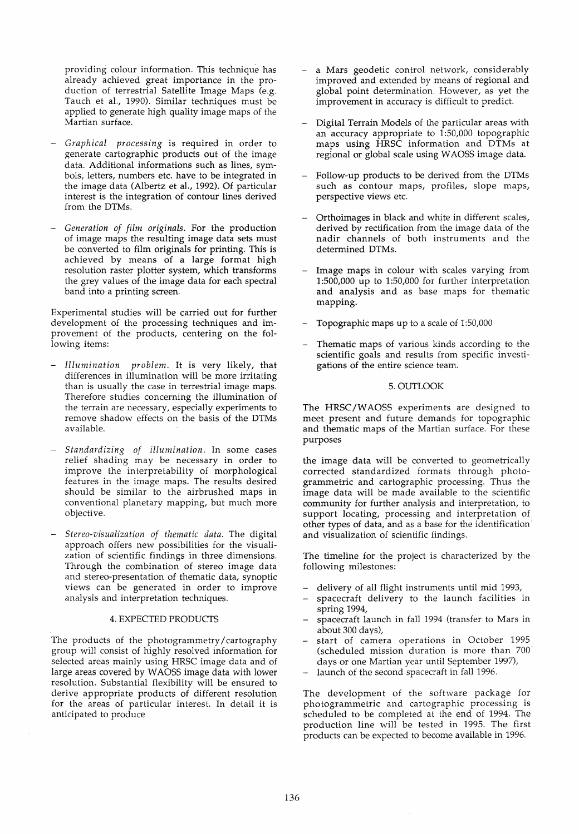providing colour information. This technique has already achieved great importance in the production of terrestrial Satellite Image Maps (e.g. Tauch et al., 1990). Similar techniques must be applied to generate high quality image maps of the Martian surface.

- *Graphical processing* is required in order to generate cartographic products out of the image data. Additional informations such as lines, symbols, letters, numbers etc. have to be integrated in the image data (Albertz et al., 1992). Of particular interest is the integration of contour lines derived from the DTMs.
- *- Generation of film originals.* For the production of image maps the resulting image data sets must be converted to film originals for printing. This is achieved by means of a large format high resolution raster plotter system, whieh transforms the grey values of the image data for each spectral band into a printing screen.

Experimental studies will be carried out for further development of the processing techniques and improvement of the products, centering on the following items:

- *- Illumination problem.* It is very likely, that differences in illumination will be more irritating than is usually the case in terrestrial image maps. Therefore studies concerning the illumination of the terrain are necessary, especially experiments to remove shadow effects on the basis of the DTMs available.
- *- Standardizing of illumination.* In some cases relief shading may be necessary in order to improve the interpretability of morphological features in the image maps. The results desired should be similar to the airbrushed maps in conventional planetary mapping, but much more objective.
- *- Stereo-visualization of thematic data.* The digital approach offers new possibilities for the visualization of scientific findings in three dimensions. Through the combination of stereo image data and stereo-presentation of thematic data, synoptic views can be generated in order to improve analysis and interpretation techniques.

#### 4. EXPECTED PRODUCTS

The products of the photogrammetry /cartography group will consist of highly resolved information for selected areas mainly using HRSC image data and of large areas covered by WAOSS image data with lower resolution. Substantial flexibility will be ensured to derive appropriate products of different resolution for the areas of partieular interest. In detail it is anticipated to produce

- a Mars geodetic control network, considerably improved and extended by means of regional and global point determination. However, as yet the improvement in accuracy is difficult to predict.
- Digital Terrain Models of the particular areas with an accuracy appropriate to  $1:50,000$  topographic maps using HRSC information and DTMs at regional or global scale using W AOSS image data.
- Follow-up products to be derived from the DTMs such as contour maps, profiles, slope maps, perspective views etc.
- Orthoimages in black and white in different scales, derived by rectifieation from the image data of the nadir channels of both instruments and the determined DTMs.
- Image maps in colour with scales varying from 1:500,000 up to 1:50,000 for further interpretation and analysis and as base maps for thematie mapping.
- Topographic maps up to a scale of 1:50,000
- Thematic maps of various kinds according to the scientifie goals and results from specific investigations of the entire science team.

#### 5.0UTLOOK

The HRSC/WAOSS experiments are designed to meet present and future demands for topographie and thematie maps of the Martian surface. For these purposes

the image data will be converted to geometrically corrected standardized formats through photogrammetrie and cartographic processing. Thus the image data will be made available to the scientifie community for further analysis and interpretation, to support locating, processing and interpretation of other types of data, and as a base for the identification' and visualization of scientific findings.

The timeline for the project is characterized by the following milestones:

- delivery of all flight instruments until mid 1993,
- spacecraft delivery to the launch facilities in spring 1994,
- spacecraft launch in fall 1994 (transfer to Mars in about 300 days),
- start of camera operations in October 1995 (scheduled mission duration is more than 700' days or one Martian year until September 1997),
- launch of the second spacecraft in fall 1996.

The development of the software package for photogrammetric and cartographic processing is scheduled to be completed at the end of 1994. The production line will be tested in 1995. The first products can be expected to become available in 1996.